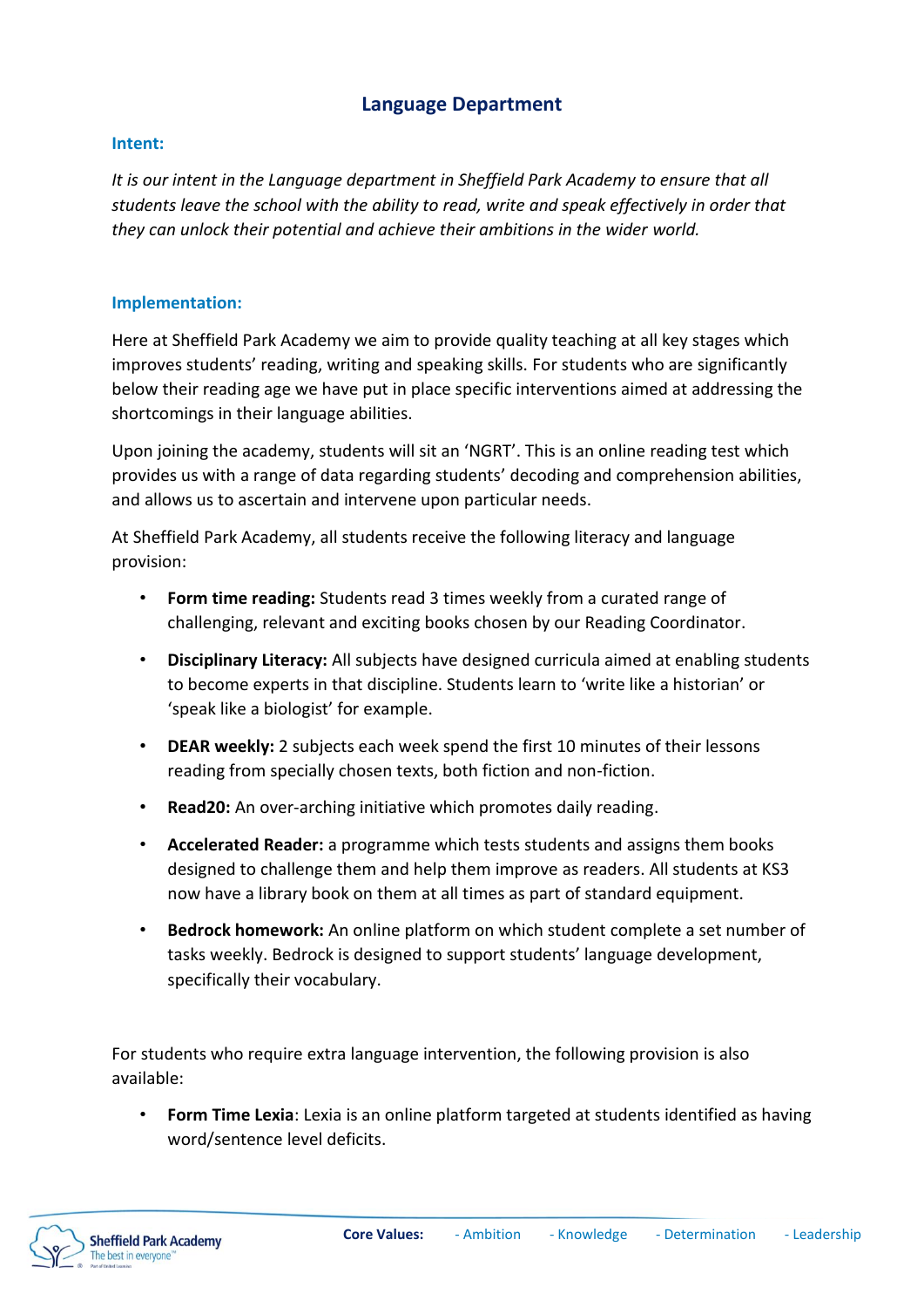## **Language Department**

## **Intent:**

*It is our intent in the Language department in Sheffield Park Academy to ensure that all students leave the school with the ability to read, write and speak effectively in order that they can unlock their potential and achieve their ambitions in the wider world.* 

## **Implementation:**

Here at Sheffield Park Academy we aim to provide quality teaching at all key stages which improves students' reading, writing and speaking skills. For students who are significantly below their reading age we have put in place specific interventions aimed at addressing the shortcomings in their language abilities.

Upon joining the academy, students will sit an 'NGRT'. This is an online reading test which provides us with a range of data regarding students' decoding and comprehension abilities, and allows us to ascertain and intervene upon particular needs.

At Sheffield Park Academy, all students receive the following literacy and language provision:

- **Form time reading:** Students read 3 times weekly from a curated range of challenging, relevant and exciting books chosen by our Reading Coordinator.
- **Disciplinary Literacy:** All subjects have designed curricula aimed at enabling students to become experts in that discipline. Students learn to 'write like a historian' or 'speak like a biologist' for example.
- **DEAR weekly:** 2 subjects each week spend the first 10 minutes of their lessons reading from specially chosen texts, both fiction and non-fiction.
- **Read20:** An over-arching initiative which promotes daily reading.
- **Accelerated Reader:** a programme which tests students and assigns them books designed to challenge them and help them improve as readers. All students at KS3 now have a library book on them at all times as part of standard equipment.
- **Bedrock homework:** An online platform on which student complete a set number of tasks weekly. Bedrock is designed to support students' language development, specifically their vocabulary.

For students who require extra language intervention, the following provision is also available:

• **Form Time Lexia**: Lexia is an online platform targeted at students identified as having word/sentence level deficits.